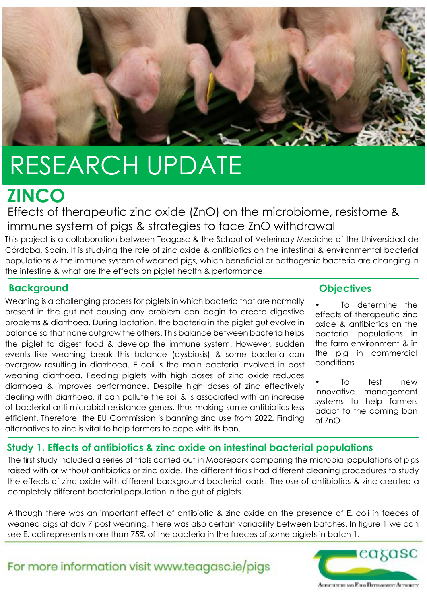

# RESEARCH UPDATE

## **ZINCO**

Effects of therapeutic zinc oxide (ZnO) on the microbiome, resistome & immune system of pigs & strategies to face ZnO withdrawal

This project is a collaboration between Teagasc & the School of Veterinary Medicine of the Universidad de Córdoba, Spain. It is studying the role of zinc oxide & antibiotics on the intestinal & environmental bacterial populations & the immune system of weaned pigs, which beneficial or pathogenic bacteria are changing in the intestine & what are the effects on piglet health & performance.

#### **Background Constanting Community Community Community Community Community Community Community Community Community Community Community Community Community Community Community Community Community Community Community Commun**

Weaning is a challenging process for piglets in which bacteria that are normally present in the gut not causing any problem can begin to create digestive problems & diarrhoea. During lactation, the bacteria in the piglet gut evolve in balance so that none outgrow the others. This balance between bacteria helps the piglet to digest food & develop the immune system. However, sudden events like weaning break this balance (dysbiosis) & some bacteria can overgrow resulting in diarrhoea. E coli is the main bacteria involved in post weaning diarrhoea. Feeding piglets with high doses of zinc oxide reduces diarrhoea & improves performance. Despite high doses of zinc effectively dealing with diarrhoea, it can pollute the soil & is associated with an increase of bacterial anti-microbial resistance genes, thus making some antibiotics less efficient. Therefore, the EU Commission is banning zinc use from 2022. Finding alternatives to zinc is vital to help farmers to cope with its ban.

To determine the effects of therapeutic zinc oxide & antibiotics on the bacterial populations in the farm environment & in the pig in commercial conditions

To test new innovative management systems to help farmers adapt to the coming ban of ZnO

#### **Study 1. Effects of antibiotics & zinc oxide on intestinal bacterial populations**

The first study included a series of trials carried out in Moorepark comparing the microbial populations of pigs raised with or without antibiotics or zinc oxide. The different trials had different cleaning procedures to study the effects of zinc oxide with different background bacterial loads. The use of antibiotics & zinc created a completely different bacterial population in the gut of piglets.

Although there was an important effect of antibiotic & zinc oxide on the presence of E. coli in faeces of weaned pigs at day 7 post weaning, there was also certain variability between batches. In figure 1 we can see E. coli represents more than 75% of the bacteria in the faeces of some piglets in batch 1.

For more information visit www.teagasc.ie/pigs



**AGRICULTURE AND FOOD DEVELOPMENT AUTHORITY**